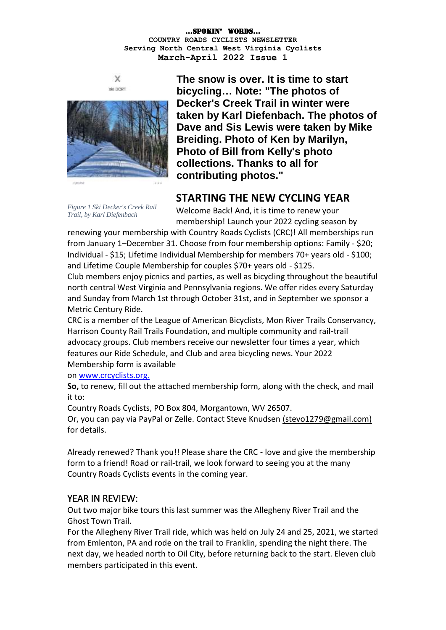



**The snow is over. It is time to start bicycling… Note: "The photos of Decker's Creek Trail in winter were taken by Karl Diefenbach. The photos of Dave and Sis Lewis were taken by Mike Breiding. Photo of Ken by Marilyn, Photo of Bill from Kelly's photo collections. Thanks to all for contributing photos."**

## **STARTING THE NEW CYCLING YEAR**

*Figure 1 Ski Decker's Creek Rail Trail, by Karl Diefenbach*

Welcome Back! And, it is time to renew your membership! Launch your 2022 cycling season by

renewing your membership with Country Roads Cyclists (CRC)! All memberships run from January 1–December 31. Choose from four membership options: Family - \$20; Individual - \$15; Lifetime Individual Membership for members 70+ years old - \$100; and Lifetime Couple Membership for couples \$70+ years old - \$125.

Club members enjoy picnics and parties, as well as bicycling throughout the beautiful north central West Virginia and Pennsylvania regions. We offer rides every Saturday and Sunday from March 1st through October 31st, and in September we sponsor a Metric Century Ride.

CRC is a member of the League of American Bicyclists, Mon River Trails Conservancy, Harrison County Rail Trails Foundation, and multiple community and rail-trail advocacy groups. Club members receive our newsletter four times a year, which features our Ride Schedule, and Club and area bicycling news. Your 2022 Membership form is available

on [www.crcyclists.org.](http://www.crcyclists.org./)

**So,** to renew, fill out the attached membership form, along with the check, and mail it to:

Country Roads Cyclists, PO Box 804, Morgantown, WV 26507.

Or, you can pay via PayPal or Zelle. Contact Steve Knudsen [\(stevo1279@gmail.com\)](mailto:(stevo1279@gmail.com)) for details.

Already renewed? Thank you!! Please share the CRC - love and give the membership form to a friend! Road or rail-trail, we look forward to seeing you at the many Country Roads Cyclists events in the coming year.

## YEAR IN REVIEW:

Out two major bike tours this last summer was the Allegheny River Trail and the Ghost Town Trail.

For the Allegheny River Trail ride, which was held on July 24 and 25, 2021, we started from Emlenton, PA and rode on the trail to Franklin, spending the night there. The next day, we headed north to Oil City, before returning back to the start. Eleven club members participated in this event.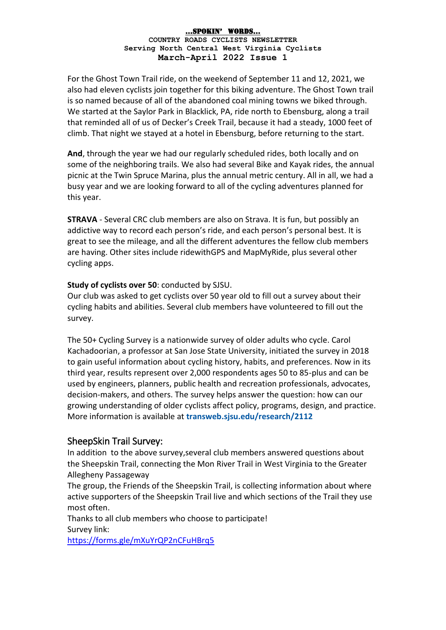For the Ghost Town Trail ride, on the weekend of September 11 and 12, 2021, we also had eleven cyclists join together for this biking adventure. The Ghost Town trail is so named because of all of the abandoned coal mining towns we biked through. We started at the Saylor Park in Blacklick, PA, ride north to Ebensburg, along a trail that reminded all of us of Decker's Creek Trail, because it had a steady, 1000 feet of climb. That night we stayed at a hotel in Ebensburg, before returning to the start.

**And**, through the year we had our regularly scheduled rides, both locally and on some of the neighboring trails. We also had several Bike and Kayak rides, the annual picnic at the Twin Spruce Marina, plus the annual metric century. All in all, we had a busy year and we are looking forward to all of the cycling adventures planned for this year.

**STRAVA** - Several CRC club members are also on Strava. It is fun, but possibly an addictive way to record each person's ride, and each person's personal best. It is great to see the mileage, and all the different adventures the fellow club members are having. Other sites include ridewithGPS and MapMyRide, plus several other cycling apps.

### **Study of cyclists over 50**: conducted by SJSU.

Our club was asked to get cyclists over 50 year old to fill out a survey about their cycling habits and abilities. Several club members have volunteered to fill out the survey.

The 50+ Cycling Survey is a nationwide survey of older adults who cycle. Carol Kachadoorian, a professor at San Jose State University, initiated the survey in 2018 to gain useful information about cycling history, habits, and preferences. Now in its third year, results represent over 2,000 respondents ages 50 to 85-plus and can be used by engineers, planners, public health and recreation professionals, advocates, decision-makers, and others. The survey helps answer the question: how can our growing understanding of older cyclists affect policy, programs, design, and practice. More information is available at **transweb.sjsu.edu/research/2112**

## SheepSkin Trail Survey:

In addition to the above survey,several club members answered questions about the Sheepskin Trail, connecting the Mon River Trail in West Virginia to the Greater Allegheny Passageway

The group, the Friends of the Sheepskin Trail, is collecting information about where active supporters of the Sheepskin Trail live and which sections of the Trail they use most often.

Thanks to all club members who choose to participate! Survey link:

<https://forms.gle/mXuYrQP2nCFuHBrq5>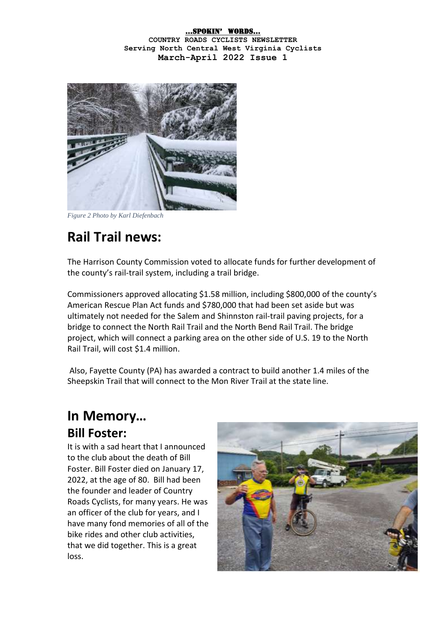

*Figure 2 Photo by Karl Diefenbach*

# **Rail Trail news:**

The Harrison County Commission voted to allocate funds for further development of the county's rail-trail system, including a trail bridge.

Commissioners approved allocating \$1.58 million, including \$800,000 of the county's American Rescue Plan Act funds and \$780,000 that had been set aside but was ultimately not needed for the Salem and Shinnston rail-trail paving projects, for a bridge to connect the North Rail Trail and the North Bend Rail Trail. The bridge project, which will connect a parking area on the other side of U.S. 19 to the North Rail Trail, will cost \$1.4 million.

Also, Fayette County (PA) has awarded a contract to build another 1.4 miles of the Sheepskin Trail that will connect to the Mon River Trail at the state line.

# **In Memory… Bill Foster:**

It is with a sad heart that I announced to the club about the death of Bill Foster. Bill Foster died on January 17, 2022, at the age of 80. Bill had been the founder and leader of Country Roads Cyclists, for many years. He was an officer of the club for years, and I have many fond memories of all of the bike rides and other club activities, that we did together. This is a great loss.

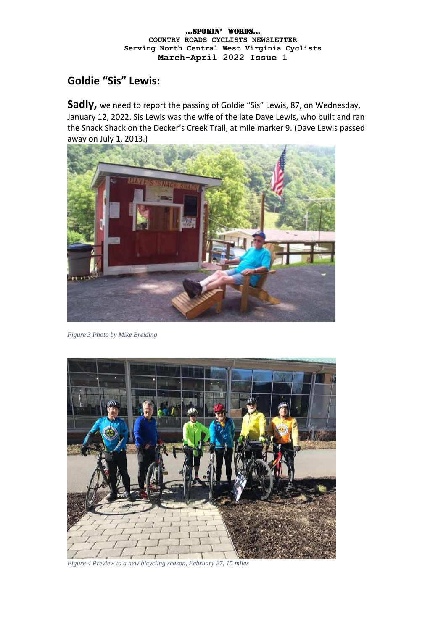# **Goldie "Sis" Lewis:**

**Sadly,** we need to report the passing of Goldie "Sis" Lewis, 87, on Wednesday, January 12, 2022. Sis Lewis was the wife of the late Dave Lewis, who built and ran the Snack Shack on the Decker's Creek Trail, at mile marker 9. (Dave Lewis passed away on July 1, 2013.)



*Figure 3 Photo by Mike Breiding*



*Figure 4 Preview to a new bicycling season, February 27, 15 miles*